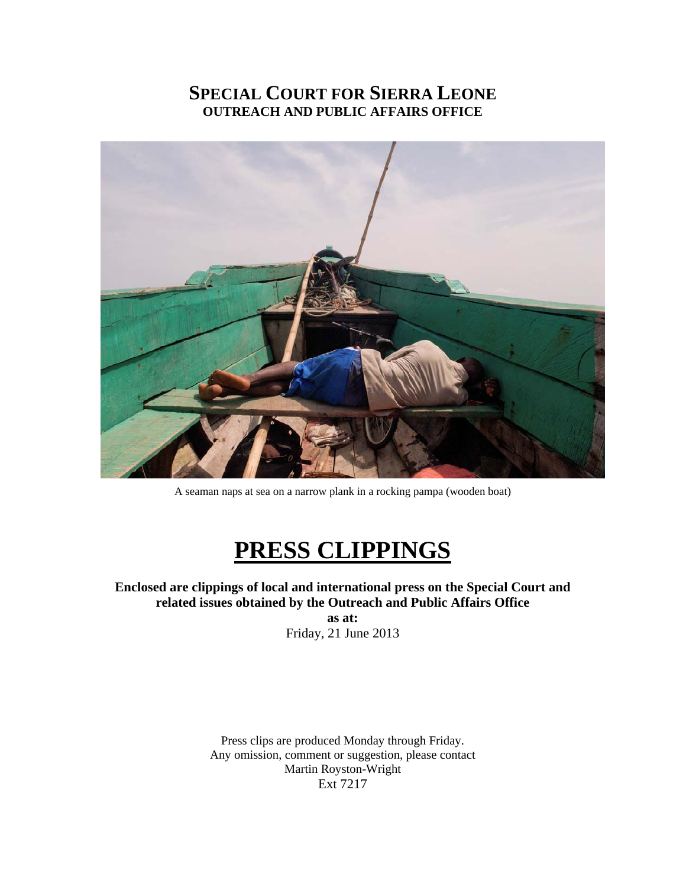# **SPECIAL COURT FOR SIERRA LEONE OUTREACH AND PUBLIC AFFAIRS OFFICE**



A seaman naps at sea on a narrow plank in a rocking pampa (wooden boat)

# **PRESS CLIPPINGS**

**Enclosed are clippings of local and international press on the Special Court and related issues obtained by the Outreach and Public Affairs Office as at:** 

Friday, 21 June 2013

Press clips are produced Monday through Friday. Any omission, comment or suggestion, please contact Martin Royston-Wright Ext 7217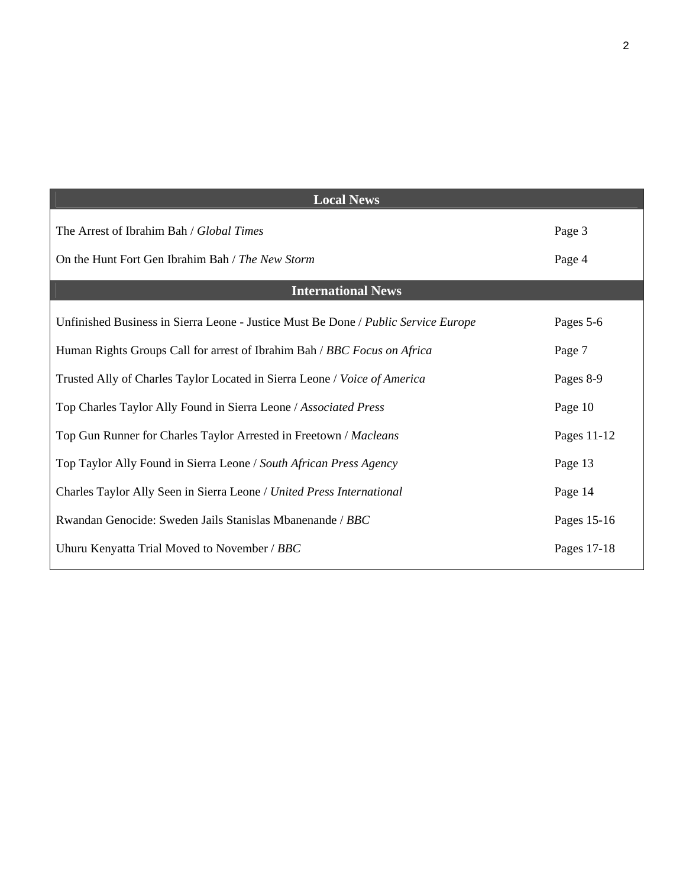| <b>Local News</b>                                                                  |             |
|------------------------------------------------------------------------------------|-------------|
| The Arrest of Ibrahim Bah / Global Times                                           | Page 3      |
| On the Hunt Fort Gen Ibrahim Bah / The New Storm                                   | Page 4      |
| <b>International News</b>                                                          |             |
| Unfinished Business in Sierra Leone - Justice Must Be Done / Public Service Europe | Pages 5-6   |
| Human Rights Groups Call for arrest of Ibrahim Bah / BBC Focus on Africa           | Page 7      |
| Trusted Ally of Charles Taylor Located in Sierra Leone / Voice of America          | Pages 8-9   |
| Top Charles Taylor Ally Found in Sierra Leone / Associated Press                   | Page 10     |
| Top Gun Runner for Charles Taylor Arrested in Freetown / Macleans                  | Pages 11-12 |
| Top Taylor Ally Found in Sierra Leone / South African Press Agency                 | Page 13     |
| Charles Taylor Ally Seen in Sierra Leone / United Press International              | Page 14     |
| Rwandan Genocide: Sweden Jails Stanislas Mbanenande / BBC                          | Pages 15-16 |
| Uhuru Kenyatta Trial Moved to November / BBC                                       | Pages 17-18 |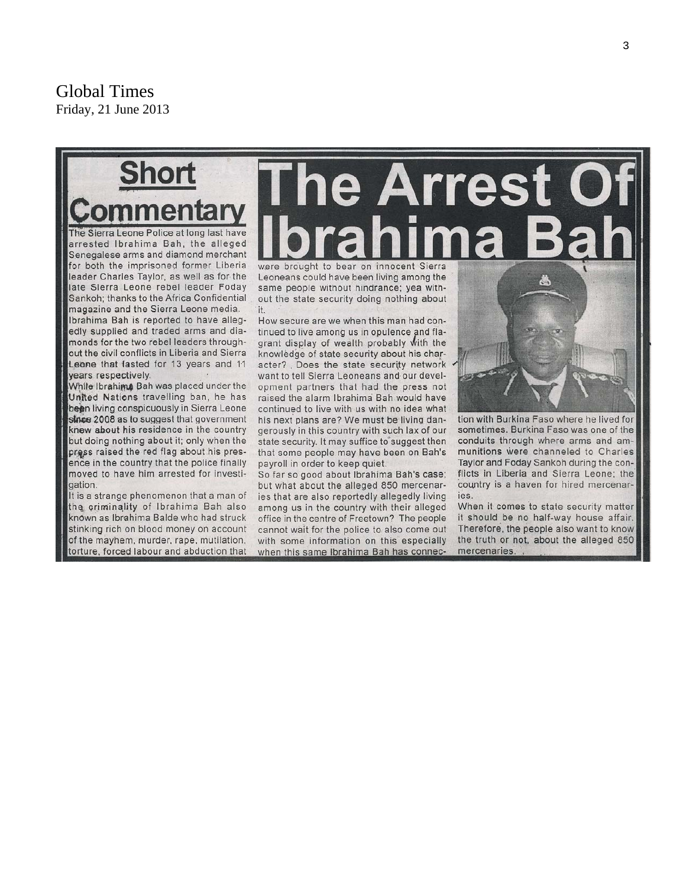Global Times Friday, 21 June 2013



The Sierra Leone Police at long last have arrested Ibrahima Bah, the alleged Senegalese arms and diamond merchant for both the imprisoned former Liberia leader Charles Taylor, as well as for the late Sierra Leone rebel leader Foday Sankoh; thanks to the Africa Confidential magazine and the Sierra Leone media. Ibrahima Bah is reported to have allegedly supplied and traded arms and diamonds for the two rebel leaders throughout the civil conflicts in Liberia and Sierra Leone that lasted for 13 years and 11 years respectively.

While Ibrahima Bah was placed under the United Nations travelling ban, he has been living conspicuously in Sierra Leone since 2008 as to suggest that government knew about his residence in the country but doing nothing about it; only when the press raised the red flag about his presence in the country that the police finally moved to have him arrested for investigation.

It is a strange phenomenon that a man of the criminality of Ibrahima Bah also known as Ibrahima Balde who had struck stinking rich on blood money on account of the mayhem, murder, rape, mutilation, torture, forced labour and abduction that

# **he Arrest** were brought to bear on innocent Sierra

Leoneans could have been living among the same people without hindrance; yea without the state security doing nothing about it.

How secure are we when this man had continued to live among us in opulence and flagrant display of wealth probably with the knowledge of state security about his character? Does the state security network want to tell Sierra Leoneans and our development partners that had the press not raised the alarm Ibrahima Bah would have continued to live with us with no idea what his next plans are? We must be living dangerously in this country with such lax of our state security. It may suffice to suggest then that some people may have been on Bah's payroll in order to keep quiet.

So far so good about Ibrahima Bah's case; but what about the alleged 850 mercenaries that are also reportedly allegedly living among us in the country with their alleged office in the centre of Freetown? The people cannot wait for the police to also come out with some information on this especially when this same Ibrahima Bah has connec-

tion with Burkina Faso where he lived for sometimes. Burkina Faso was one of the conduits through where arms and ammunitions were channeled to Charles Taylor and Foday Sankoh during the conflicts in Liberia and Sierra Leone; the country is a haven for hired mercenaries.

When it comes to state security matter it should be no half-way house affair. Therefore, the people also want to know the truth or not, about the alleged 850 mercenaries.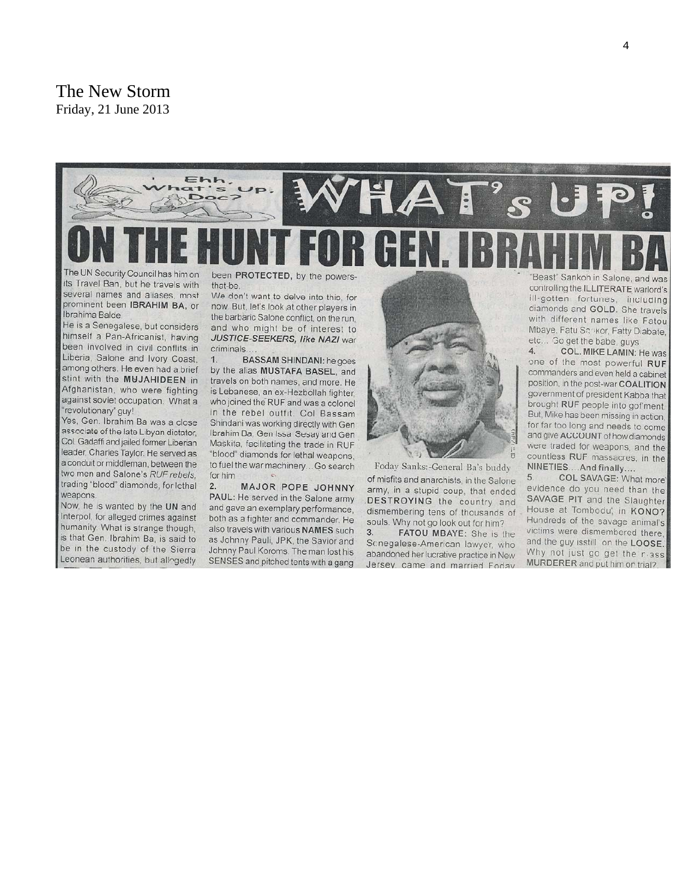#### The New Storm Friday, 21 June 2013



its Travel Ban, but he travels with several names and aliases, most prominent been IBRAHIM BA, or Ibrahima Balde

He is a Senegalese, but considers himself a Pan-Africanist, having been involved in civil conflits in Liberia, Salone and Ivory Coast. among others. He even had a brief stint with the MUJAHIDEEN in Afghanistan, who were fighting against soviet occupation. What a 'revolutionary" guy!

Yes, Gen. Ibrahim Ba was a close associate of the late Libyan dictator, Col. Gadaffi and jailed former Liberian leader, Charles Taylor. He served as a conduit or middleman, between the two men and Salone's RUF rebels. trading "blood" diamonds, for lethal weapons

Now, he is wanted by the UN and Interpol, for alleged crimes against humanity. What is strange though, is that Gen. Ibrahim Ba, is said to be in the custody of the Sierra Leonean authorities, but allegedly

been PROTECTED, by the powersthat-be

We don't want to delve into this, for now. But, let's look at other players in the barbaric Salone conflict, on the run. and who might be of interest to JUSTICE-SEEKERS, like NAZI war criminals.

**BASSAM SHINDANI:** he goes  $1.$ by the alias MUSTAFA BASEL, and travels on both names, and more. He is Lebanese, an ex-Hezbollah fighter, who joined the RUF and was a colonel in the rebel outfit. Col Bassam Shindani was working directly with Gen Ibrahim Ba, Gen Issa Sesay and Gen Maskita, facilitating the trade in RUF "blood" diamonds for lethal weapons, to fuel the war machinery...Go search for him

MAJOR POPE JOHNNY  $2.$ PAUL: He served in the Salone army and gave an exemplary performance. both as a fighter and commander. He also travels with various NAMES such as Johnny Pauli, JPK, the Savior and Johnny Paul Koroms. The man lost his SENSES and pitched tents with a gang



Foday Sanks:-General Ba's buddy of misfits and anarchists, in the Salone army, in a stupid coup, that ended DESTROYING the country and dismembering tens of thousands of souls. Why not go look out for him? FATOU MBAYE: She is the  $3.$ 

Scnegalese-American lawyer, who abandoned her lucrative practice in New Jersey, came and married Fodav

Beast" Sankoh in Salone, and was controlling the ILLITERATE warlord's ill-gotten fortunes, including diamonds and GOLD. She travels with different names like Fatou Mbaye, Fatu Sankor, Fatty Diabate, etc... Go get the babe, guys

 $\Delta$ COL. MIKE LAMIN: He was one of the most powerful RUF commanders and even held a cabinet position, in the post-war COALITION government of president Kabba that brought RUF people into gof ment. But, Mike has been missing in action. for far too long and needs to come and give ACCOUNT of how diamonds were traded for weapons, and the countless RUF massacres, in the NINETIES....And finally....

COL SAVAGE: What more 5. evidence do you need than the SAVAGE PIT and the Slaughter House at Tombodu, in KONO? Hundreds of the savage animal's victims were dismembered there. and the guy isstill on the LOOSE. Why not just go get the reass MURDERER and put him on trial?.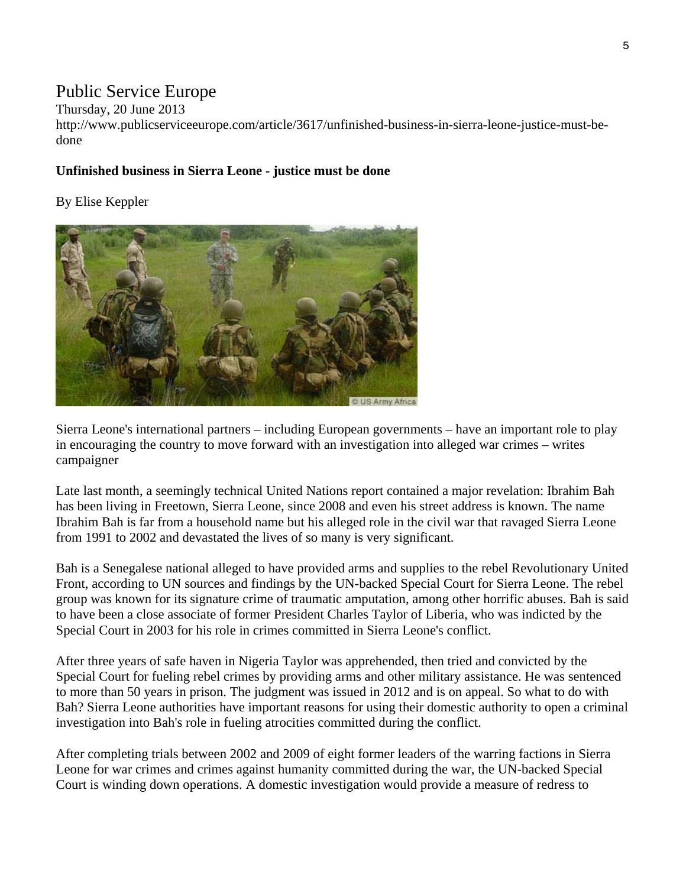# Public Service Europe

Thursday, 20 June 2013

http://www.publicserviceeurope.com/article/3617/unfinished-business-in-sierra-leone-justice-must-bedone

#### **Unfinished business in Sierra Leone - justice must be done**

By Elise Keppler



Sierra Leone's international partners – including European governments – have an important role to play in encouraging the country to move forward with an investigation into alleged war crimes – writes campaigner

Late last month, a seemingly technical United Nations report contained a major revelation: Ibrahim Bah has been living in Freetown, Sierra Leone, since 2008 and even his street address is known. The name Ibrahim Bah is far from a household name but his alleged role in the civil war that ravaged Sierra Leone from 1991 to 2002 and devastated the lives of so many is very significant.

Bah is a Senegalese national alleged to have provided arms and supplies to the rebel Revolutionary United Front, according to UN sources and findings by the UN-backed Special Court for Sierra Leone. The rebel group was known for its signature crime of traumatic amputation, among other horrific abuses. Bah is said to have been a close associate of former President Charles Taylor of Liberia, who was indicted by the Special Court in 2003 for his role in crimes committed in Sierra Leone's conflict.

After three years of safe haven in Nigeria Taylor was apprehended, then tried and convicted by the Special Court for fueling rebel crimes by providing arms and other military assistance. He was sentenced to more than 50 years in prison. The judgment was issued in 2012 and is on appeal. So what to do with Bah? Sierra Leone authorities have important reasons for using their domestic authority to open a criminal investigation into Bah's role in fueling atrocities committed during the conflict.

After completing trials between 2002 and 2009 of eight former leaders of the warring factions in Sierra Leone for war crimes and crimes against humanity committed during the war, the UN-backed Special Court is winding down operations. A domestic investigation would provide a measure of redress to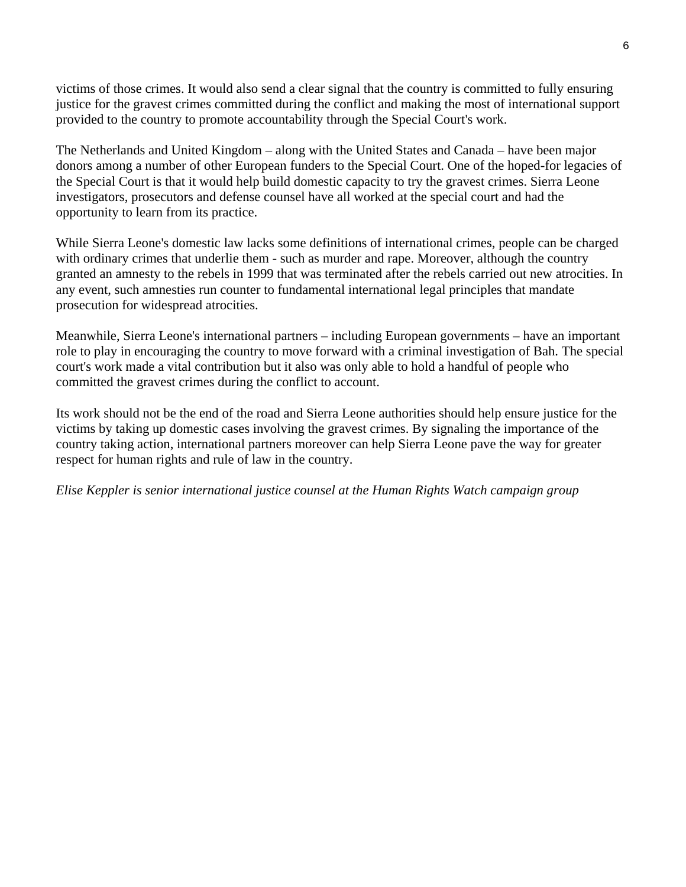victims of those crimes. It would also send a clear signal that the country is committed to fully ensuring justice for the gravest crimes committed during the conflict and making the most of international support provided to the country to promote accountability through the Special Court's work.

The Netherlands and United Kingdom – along with the United States and Canada – have been major donors among a number of other European funders to the Special Court. One of the hoped-for legacies of the Special Court is that it would help build domestic capacity to try the gravest crimes. Sierra Leone investigators, prosecutors and defense counsel have all worked at the special court and had the opportunity to learn from its practice.

While Sierra Leone's domestic law lacks some definitions of international crimes, people can be charged with ordinary crimes that underlie them - such as murder and rape. Moreover, although the country granted an amnesty to the rebels in 1999 that was terminated after the rebels carried out new atrocities. In any event, such amnesties run counter to fundamental international legal principles that mandate prosecution for widespread atrocities.

Meanwhile, Sierra Leone's international partners – including European governments – have an important role to play in encouraging the country to move forward with a criminal investigation of Bah. The special court's work made a vital contribution but it also was only able to hold a handful of people who committed the gravest crimes during the conflict to account.

Its work should not be the end of the road and Sierra Leone authorities should help ensure justice for the victims by taking up domestic cases involving the gravest crimes. By signaling the importance of the country taking action, international partners moreover can help Sierra Leone pave the way for greater respect for human rights and rule of law in the country.

*Elise Keppler is senior international justice counsel at the Human Rights Watch campaign group*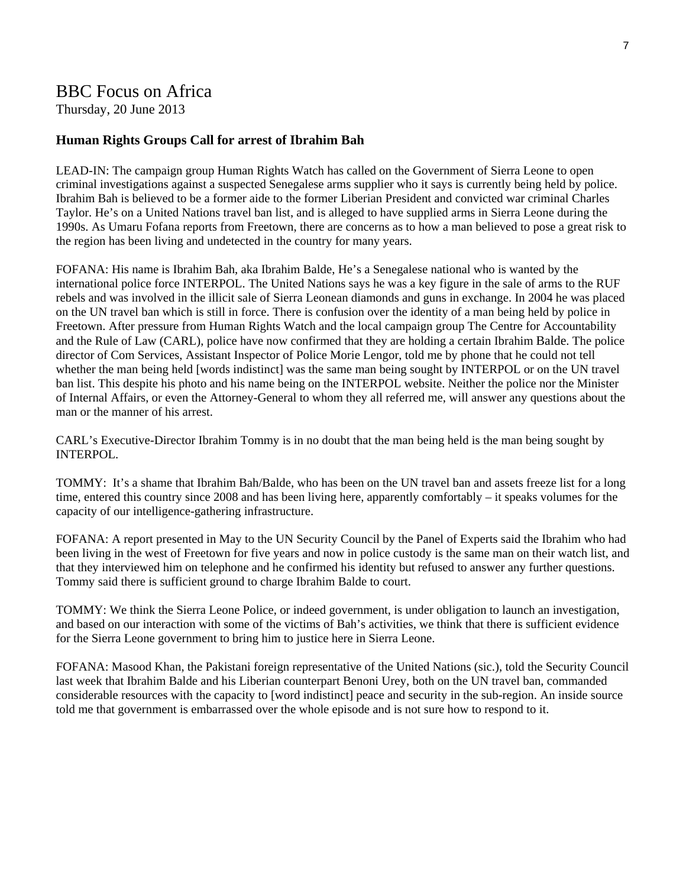### BBC Focus on Africa

Thursday, 20 June 2013

#### **Human Rights Groups Call for arrest of Ibrahim Bah**

LEAD-IN: The campaign group Human Rights Watch has called on the Government of Sierra Leone to open criminal investigations against a suspected Senegalese arms supplier who it says is currently being held by police. Ibrahim Bah is believed to be a former aide to the former Liberian President and convicted war criminal Charles Taylor. He's on a United Nations travel ban list, and is alleged to have supplied arms in Sierra Leone during the 1990s. As Umaru Fofana reports from Freetown, there are concerns as to how a man believed to pose a great risk to the region has been living and undetected in the country for many years.

FOFANA: His name is Ibrahim Bah, aka Ibrahim Balde, He's a Senegalese national who is wanted by the international police force INTERPOL. The United Nations says he was a key figure in the sale of arms to the RUF rebels and was involved in the illicit sale of Sierra Leonean diamonds and guns in exchange. In 2004 he was placed on the UN travel ban which is still in force. There is confusion over the identity of a man being held by police in Freetown. After pressure from Human Rights Watch and the local campaign group The Centre for Accountability and the Rule of Law (CARL), police have now confirmed that they are holding a certain Ibrahim Balde. The police director of Com Services, Assistant Inspector of Police Morie Lengor, told me by phone that he could not tell whether the man being held [words indistinct] was the same man being sought by INTERPOL or on the UN travel ban list. This despite his photo and his name being on the INTERPOL website. Neither the police nor the Minister of Internal Affairs, or even the Attorney-General to whom they all referred me, will answer any questions about the man or the manner of his arrest.

CARL's Executive-Director Ibrahim Tommy is in no doubt that the man being held is the man being sought by INTERPOL.

TOMMY: It's a shame that Ibrahim Bah/Balde, who has been on the UN travel ban and assets freeze list for a long time, entered this country since 2008 and has been living here, apparently comfortably – it speaks volumes for the capacity of our intelligence-gathering infrastructure.

FOFANA: A report presented in May to the UN Security Council by the Panel of Experts said the Ibrahim who had been living in the west of Freetown for five years and now in police custody is the same man on their watch list, and that they interviewed him on telephone and he confirmed his identity but refused to answer any further questions. Tommy said there is sufficient ground to charge Ibrahim Balde to court.

TOMMY: We think the Sierra Leone Police, or indeed government, is under obligation to launch an investigation, and based on our interaction with some of the victims of Bah's activities, we think that there is sufficient evidence for the Sierra Leone government to bring him to justice here in Sierra Leone.

FOFANA: Masood Khan, the Pakistani foreign representative of the United Nations (sic.), told the Security Council last week that Ibrahim Balde and his Liberian counterpart Benoni Urey, both on the UN travel ban, commanded considerable resources with the capacity to [word indistinct] peace and security in the sub-region. An inside source told me that government is embarrassed over the whole episode and is not sure how to respond to it.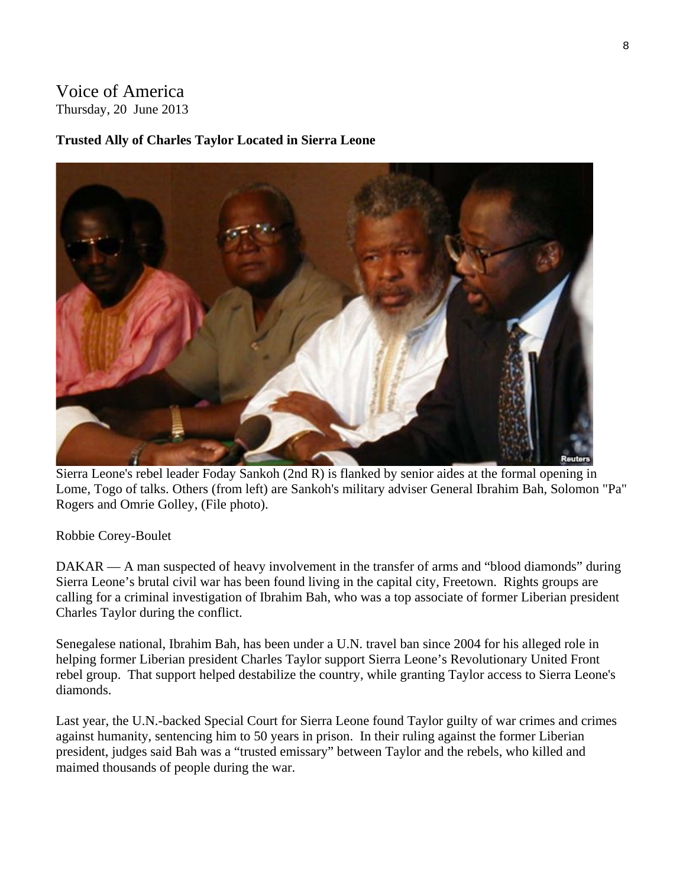# Voice of America Thursday, 20 June 2013

#### **Trusted Ally of Charles Taylor Located in Sierra Leone**



Sierra Leone's rebel leader Foday Sankoh (2nd R) is flanked by senior aides at the formal opening in Lome, Togo of talks. Others (from left) are Sankoh's military adviser General Ibrahim Bah, Solomon "Pa" Rogers and Omrie Golley, (File photo).

#### Robbie Corey-Boulet

DAKAR — A man suspected of heavy involvement in the transfer of arms and "blood diamonds" during Sierra Leone's brutal civil war has been found living in the capital city, Freetown. Rights groups are calling for a criminal investigation of Ibrahim Bah, who was a top associate of former Liberian president Charles Taylor during the conflict.

Senegalese national, Ibrahim Bah, has been under a U.N. travel ban since 2004 for his alleged role in helping former Liberian president Charles Taylor support Sierra Leone's Revolutionary United Front rebel group. That support helped destabilize the country, while granting Taylor access to Sierra Leone's diamonds.

Last year, the U.N.-backed Special Court for Sierra Leone found Taylor guilty of war crimes and crimes against humanity, sentencing him to 50 years in prison. In their ruling against the former Liberian president, judges said Bah was a "trusted emissary" between Taylor and the rebels, who killed and maimed thousands of people during the war.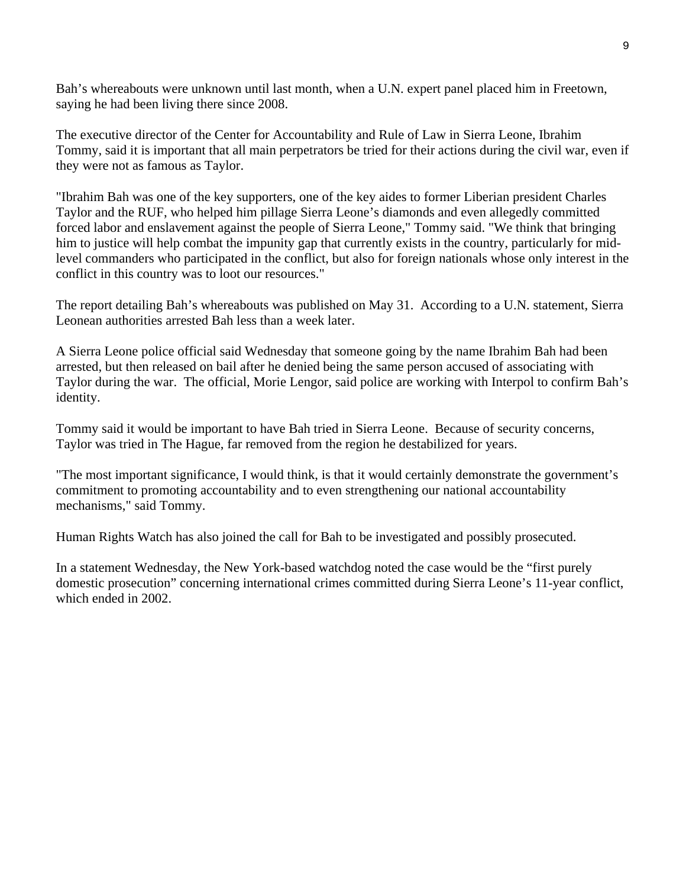Bah's whereabouts were unknown until last month, when a U.N. expert panel placed him in Freetown, saying he had been living there since 2008.

The executive director of the Center for Accountability and Rule of Law in Sierra Leone, Ibrahim Tommy, said it is important that all main perpetrators be tried for their actions during the civil war, even if they were not as famous as Taylor.

"Ibrahim Bah was one of the key supporters, one of the key aides to former Liberian president Charles Taylor and the RUF, who helped him pillage Sierra Leone's diamonds and even allegedly committed forced labor and enslavement against the people of Sierra Leone," Tommy said. "We think that bringing him to justice will help combat the impunity gap that currently exists in the country, particularly for midlevel commanders who participated in the conflict, but also for foreign nationals whose only interest in the conflict in this country was to loot our resources."

The report detailing Bah's whereabouts was published on May 31. According to a U.N. statement, Sierra Leonean authorities arrested Bah less than a week later.

A Sierra Leone police official said Wednesday that someone going by the name Ibrahim Bah had been arrested, but then released on bail after he denied being the same person accused of associating with Taylor during the war. The official, Morie Lengor, said police are working with Interpol to confirm Bah's identity.

Tommy said it would be important to have Bah tried in Sierra Leone. Because of security concerns, Taylor was tried in The Hague, far removed from the region he destabilized for years.

"The most important significance, I would think, is that it would certainly demonstrate the government's commitment to promoting accountability and to even strengthening our national accountability mechanisms," said Tommy.

Human Rights Watch has also joined the call for Bah to be investigated and possibly prosecuted.

In a statement Wednesday, the New York-based watchdog noted the case would be the "first purely domestic prosecution" concerning international crimes committed during Sierra Leone's 11-year conflict, which ended in 2002.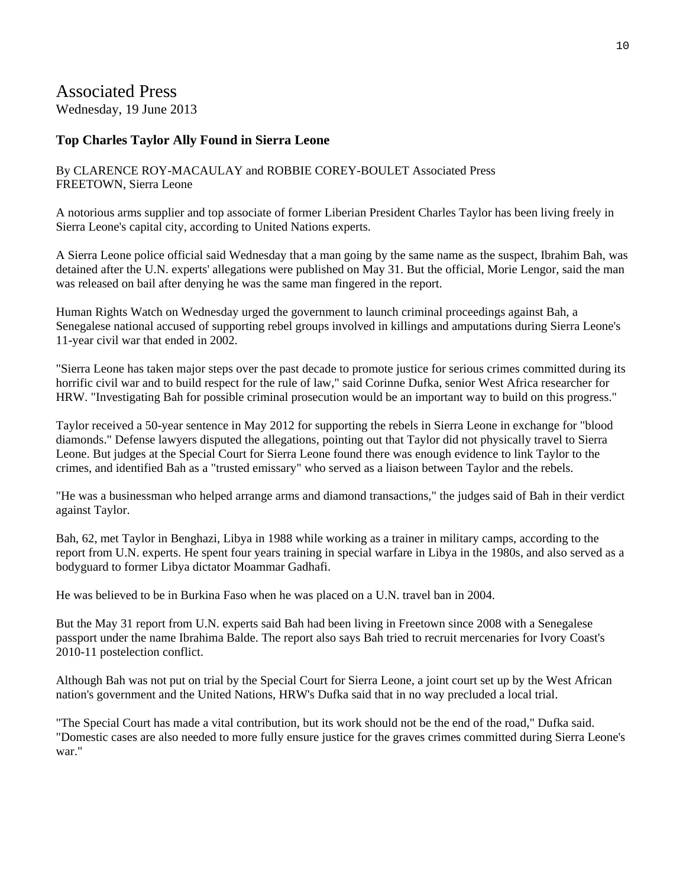# Associated Press

Wednesday, 19 June 2013

#### **Top Charles Taylor Ally Found in Sierra Leone**

#### By CLARENCE ROY-MACAULAY and ROBBIE COREY-BOULET Associated Press FREETOWN, Sierra Leone

A notorious arms supplier and top associate of former Liberian President Charles Taylor has been living freely in Sierra Leone's capital city, according to United Nations experts.

A Sierra Leone police official said Wednesday that a man going by the same name as the suspect, Ibrahim Bah, was detained after the U.N. experts' allegations were published on May 31. But the official, Morie Lengor, said the man was released on bail after denying he was the same man fingered in the report.

Human Rights Watch on Wednesday urged the government to launch criminal proceedings against Bah, a Senegalese national accused of supporting rebel groups involved in killings and amputations during Sierra Leone's 11-year civil war that ended in 2002.

"Sierra Leone has taken major steps over the past decade to promote justice for serious crimes committed during its horrific civil war and to build respect for the rule of law," said Corinne Dufka, senior West Africa researcher for HRW. "Investigating Bah for possible criminal prosecution would be an important way to build on this progress."

Taylor received a 50-year sentence in May 2012 for supporting the rebels in Sierra Leone in exchange for "blood diamonds." Defense lawyers disputed the allegations, pointing out that Taylor did not physically travel to Sierra Leone. But judges at the Special Court for Sierra Leone found there was enough evidence to link Taylor to the crimes, and identified Bah as a "trusted emissary" who served as a liaison between Taylor and the rebels.

"He was a businessman who helped arrange arms and diamond transactions," the judges said of Bah in their verdict against Taylor.

Bah, 62, met Taylor in Benghazi, Libya in 1988 while working as a trainer in military camps, according to the report from U.N. experts. He spent four years training in special warfare in Libya in the 1980s, and also served as a bodyguard to former Libya dictator Moammar Gadhafi.

He was believed to be in Burkina Faso when he was placed on a U.N. travel ban in 2004.

But the May 31 report from U.N. experts said Bah had been living in Freetown since 2008 with a Senegalese passport under the name Ibrahima Balde. The report also says Bah tried to recruit mercenaries for Ivory Coast's 2010-11 postelection conflict.

Although Bah was not put on trial by the Special Court for Sierra Leone, a joint court set up by the West African nation's government and the United Nations, HRW's Dufka said that in no way precluded a local trial.

"The Special Court has made a vital contribution, but its work should not be the end of the road," Dufka said. "Domestic cases are also needed to more fully ensure justice for the graves crimes committed during Sierra Leone's war."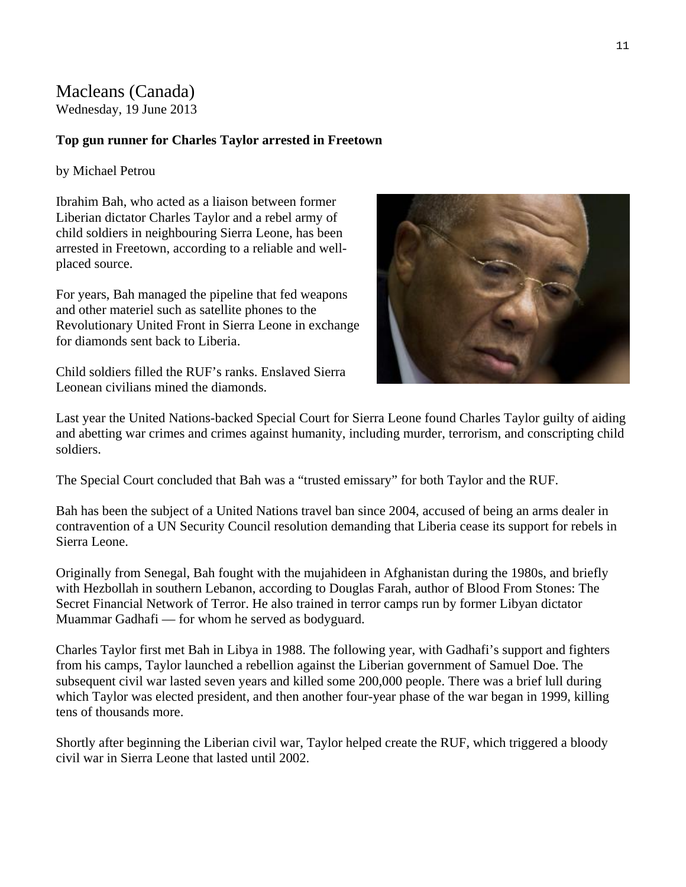#### Macleans (Canada) Wednesday, 19 June 2013

#### **Top gun runner for Charles Taylor arrested in Freetown**

by Michael Petrou

Ibrahim Bah, who acted as a liaison between former Liberian dictator Charles Taylor and a rebel army of child soldiers in neighbouring Sierra Leone, has been arrested in Freetown, according to a reliable and wellplaced source.

For years, Bah managed the pipeline that fed weapons and other materiel such as satellite phones to the Revolutionary United Front in Sierra Leone in exchange for diamonds sent back to Liberia.

Child soldiers filled the RUF's ranks. Enslaved Sierra Leonean civilians mined the diamonds.



Last year the United Nations-backed Special Court for Sierra Leone found Charles Taylor guilty of aiding and abetting war crimes and crimes against humanity, including murder, terrorism, and conscripting child soldiers.

The Special Court concluded that Bah was a "trusted emissary" for both Taylor and the RUF.

Bah has been the subject of a United Nations travel ban since 2004, accused of being an arms dealer in contravention of a UN Security Council resolution demanding that Liberia cease its support for rebels in Sierra Leone.

Originally from Senegal, Bah fought with the mujahideen in Afghanistan during the 1980s, and briefly with Hezbollah in southern Lebanon, according to Douglas Farah, author of Blood From Stones: The Secret Financial Network of Terror. He also trained in terror camps run by former Libyan dictator Muammar Gadhafi — for whom he served as bodyguard.

Charles Taylor first met Bah in Libya in 1988. The following year, with Gadhafi's support and fighters from his camps, Taylor launched a rebellion against the Liberian government of Samuel Doe. The subsequent civil war lasted seven years and killed some 200,000 people. There was a brief lull during which Taylor was elected president, and then another four-year phase of the war began in 1999, killing tens of thousands more.

Shortly after beginning the Liberian civil war, Taylor helped create the RUF, which triggered a bloody civil war in Sierra Leone that lasted until 2002.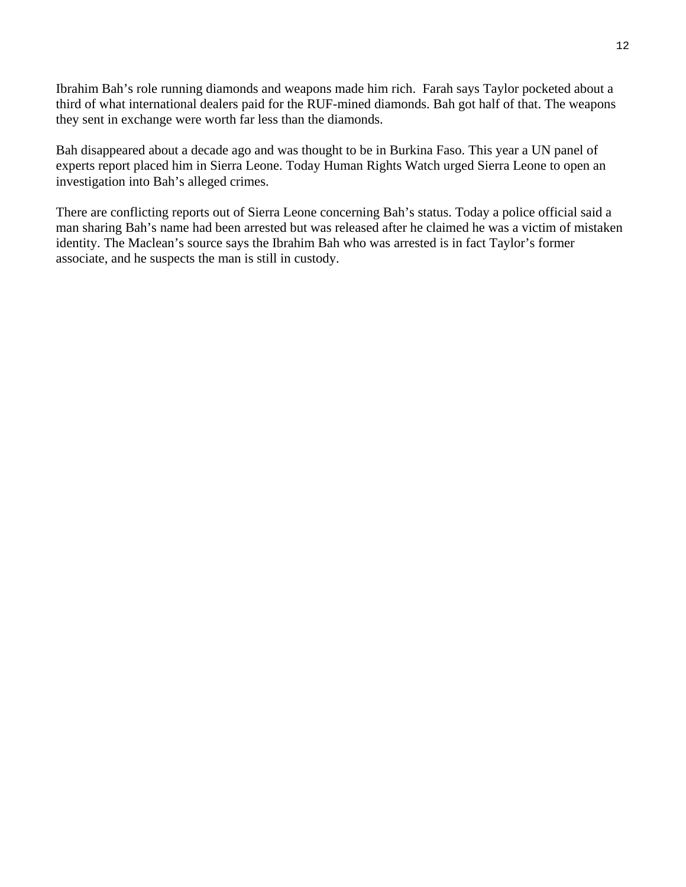Ibrahim Bah's role running diamonds and weapons made him rich. Farah says Taylor pocketed about a third of what international dealers paid for the RUF-mined diamonds. Bah got half of that. The weapons they sent in exchange were worth far less than the diamonds.

Bah disappeared about a decade ago and was thought to be in Burkina Faso. This year a UN panel of experts report placed him in Sierra Leone. Today Human Rights Watch urged Sierra Leone to open an investigation into Bah's alleged crimes.

There are conflicting reports out of Sierra Leone concerning Bah's status. Today a police official said a man sharing Bah's name had been arrested but was released after he claimed he was a victim of mistaken identity. The Maclean's source says the Ibrahim Bah who was arrested is in fact Taylor's former associate, and he suspects the man is still in custody.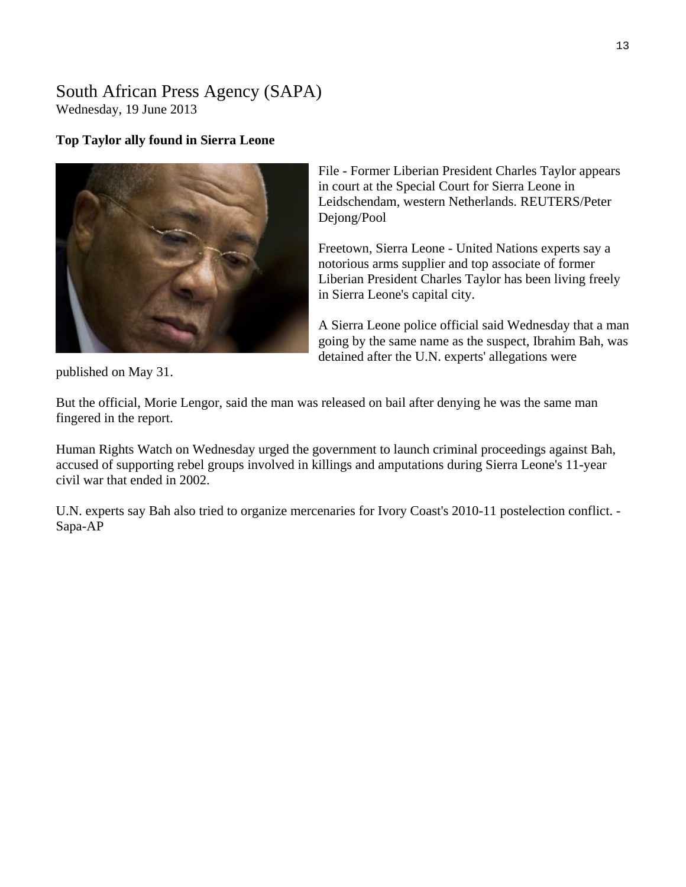#### South African Press Agency (SAPA) Wednesday, 19 June 2013

#### **Top Taylor ally found in Sierra Leone**



File - Former Liberian President Charles Taylor appears in court at the Special Court for Sierra Leone in Leidschendam, western Netherlands. REUTERS/Peter Dejong/Pool

Freetown, Sierra Leone - United Nations experts say a notorious arms supplier and top associate of former Liberian President Charles Taylor has been living freely in Sierra Leone's capital city.

A Sierra Leone police official said Wednesday that a m an going by the same name as the suspect, Ibrahim Bah, w as detained after the U.N. experts' allegations were

published on May 31.

But the official, Morie Lengor, said the man was released on bail after denying he was the same man fingered in the report.

Human Rights Watch on Wednesday urged the government to launch criminal proceedings against Bah, accused of supporting rebel groups involved in killings and amputations during Sierra Leone's 11-year civil war that ended in 2002.

U.N. experts say Bah also tried to organize mercenaries for Ivory Coast's 2010-11 postelection conflict. - Sapa-AP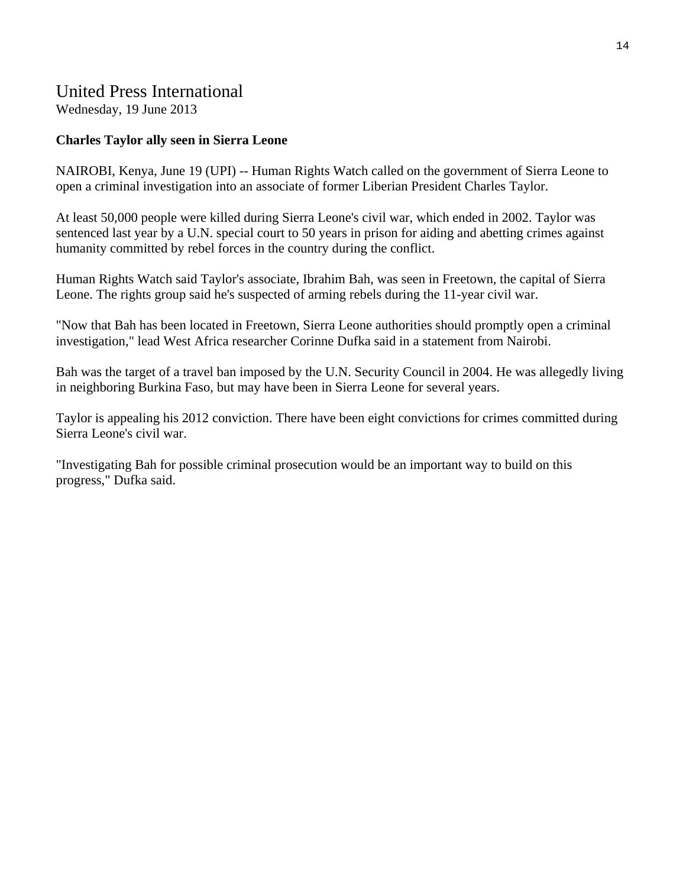# United Press International

Wednesday, 19 June 2013

#### **Charles Taylor ally seen in Sierra Leone**

NAIROBI, Kenya, June 19 (UPI) -- Human Rights Watch called on the government of Sierra Leone to open a criminal investigation into an associate of former Liberian President Charles Taylor.

At least 50,000 people were killed during Sierra Leone's civil war, which ended in 2002. Taylor was sentenced last year by a U.N. special court to 50 years in prison for aiding and abetting crimes against humanity committed by rebel forces in the country during the conflict.

Human Rights Watch said Taylor's associate, Ibrahim Bah, was seen in Freetown, the capital of Sierra Leone. The rights group said he's suspected of arming rebels during the 11-year civil war.

"Now that Bah has been located in Freetown, Sierra Leone authorities should promptly open a criminal investigation," lead West Africa researcher Corinne Dufka said in a statement from Nairobi.

Bah was the target of a travel ban imposed by the U.N. Security Council in 2004. He was allegedly living in neighboring Burkina Faso, but may have been in Sierra Leone for several years.

Taylor is appealing his 2012 conviction. There have been eight convictions for crimes committed during Sierra Leone's civil war.

"Investigating Bah for possible criminal prosecution would be an important way to build on this progress," Dufka said.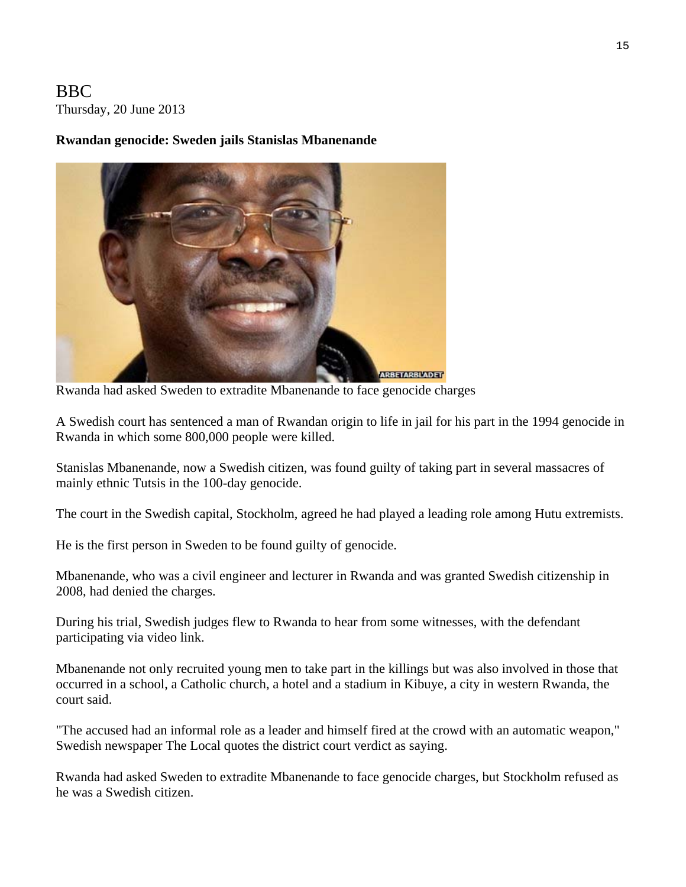# BBC Thursday, 20 June 2013

#### **Rwandan genocide: Sweden jails Stanislas Mbanenande**



Rwanda had asked Sweden to extradite Mbanenande to face genocide charges

A Swedish court has sentenced a man of Rwandan origin to life in jail for his part in the 1994 genocide in Rwanda in which some 800,000 people were killed.

Stanislas Mbanenande, now a Swedish citizen, was found guilty of taking part in several massacres of mainly ethnic Tutsis in the 100-day genocide.

The court in the Swedish capital, Stockholm, agreed he had played a leading role among Hutu extremists.

He is the first person in Sweden to be found guilty of genocide.

Mbanenande, who was a civil engineer and lecturer in Rwanda and was granted Swedish citizenship in 2008, had denied the charges.

During his trial, Swedish judges flew to Rwanda to hear from some witnesses, with the defendant participating via video link.

Mbanenande not only recruited young men to take part in the killings but was also involved in those that occurred in a school, a Catholic church, a hotel and a stadium in Kibuye, a city in western Rwanda, the court said.

"The accused had an informal role as a leader and himself fired at the crowd with an automatic weapon," Swedish newspaper The Local quotes the district court verdict as saying.

Rwanda had asked Sweden to extradite Mbanenande to face genocide charges, but Stockholm refused as he was a Swedish citizen.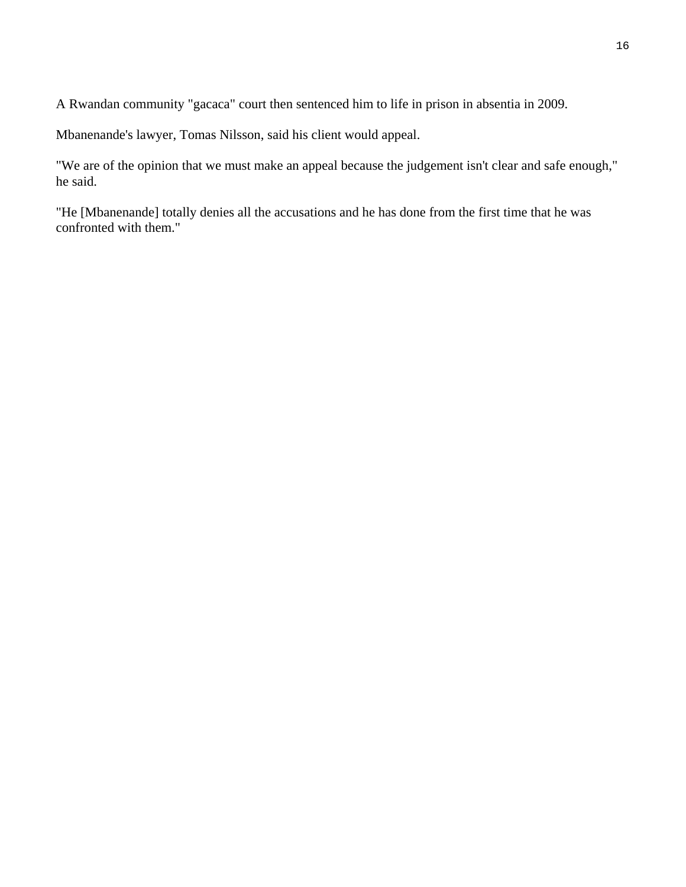A Rwandan community "gacaca" court then sentenced him to life in prison in absentia in 2009.

Mbanenande's lawyer, Tomas Nilsson, said his client would appeal.

"We are of the opinion that we must make an appeal because the judgement isn't clear and safe enough," he said.

"He [Mbanenande] totally denies all the accusations and he has done from the first time that he was confronted with them."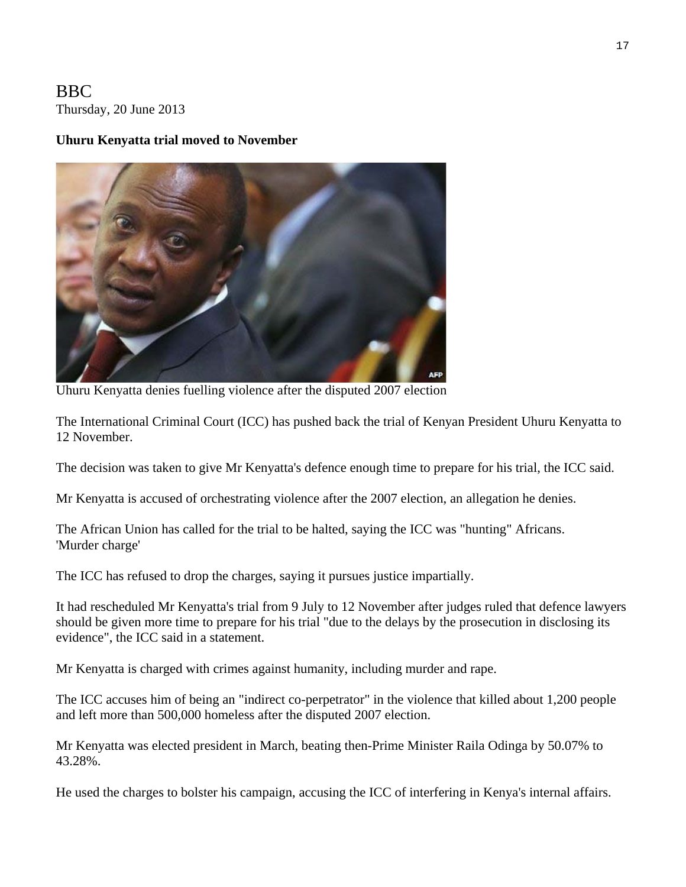BBC Thursday, 20 June 2013

#### **Uhuru Kenyatta trial moved to November**



Uhuru Kenyatta denies fuelling violence after the disputed 2007 election

The International Criminal Court (ICC) has pushed back the trial of Kenyan President Uhuru Kenyatta to 12 November.

The decision was taken to give Mr Kenyatta's defence enough time to prepare for his trial, the ICC said.

Mr Kenyatta is accused of orchestrating violence after the 2007 election, an allegation he denies.

The African Union has called for the trial to be halted, saying the ICC was "hunting" Africans. 'Murder charge'

The ICC has refused to drop the charges, saying it pursues justice impartially.

It had rescheduled Mr Kenyatta's trial from 9 July to 12 November after judges ruled that defence lawyers should be given more time to prepare for his trial "due to the delays by the prosecution in disclosing its evidence", the ICC said in a statement.

Mr Kenyatta is charged with crimes against humanity, including murder and rape.

The ICC accuses him of being an "indirect co-perpetrator" in the violence that killed about 1,200 people and left more than 500,000 homeless after the disputed 2007 election.

Mr Kenyatta was elected president in March, beating then-Prime Minister Raila Odinga by 50.07% to 43.28%.

He used the charges to bolster his campaign, accusing the ICC of interfering in Kenya's internal affairs.